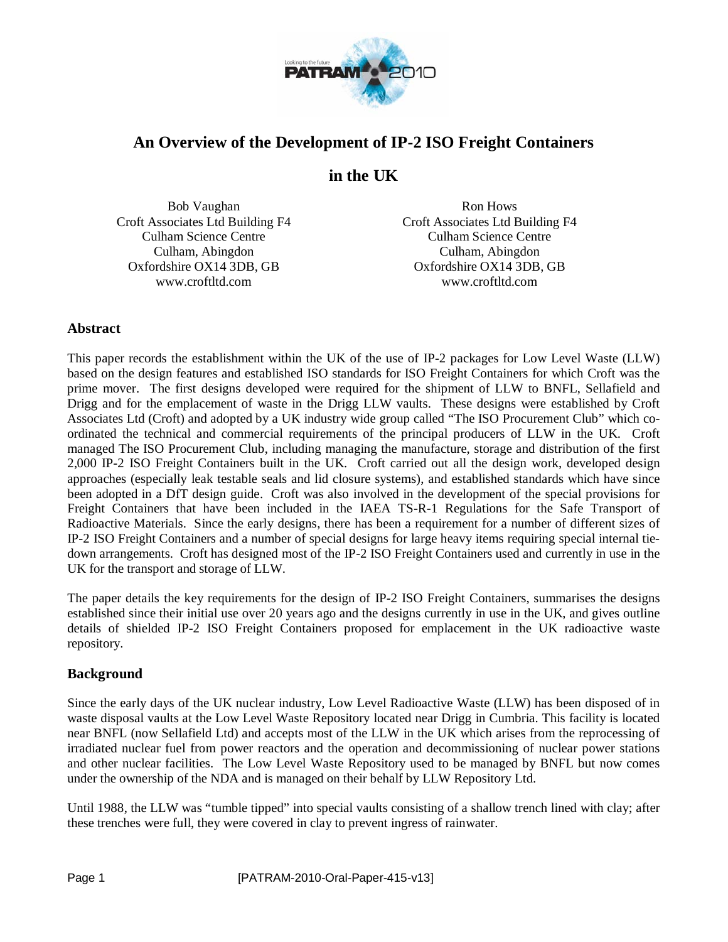

# **An Overview of the Development of IP-2 ISO Freight Containers**

# **in the UK**

Bob Vaughan Croft Associates Ltd Building F4 Culham Science Centre Culham, Abingdon Oxfordshire OX14 3DB, GB www.croftltd.com

Ron Hows Croft Associates Ltd Building F4 Culham Science Centre Culham, Abingdon Oxfordshire OX14 3DB, GB www.croftltd.com

## **Abstract**

This paper records the establishment within the UK of the use of IP-2 packages for Low Level Waste (LLW) based on the design features and established ISO standards for ISO Freight Containers for which Croft was the prime mover. The first designs developed were required for the shipment of LLW to BNFL, Sellafield and Drigg and for the emplacement of waste in the Drigg LLW vaults. These designs were established by Croft Associates Ltd (Croft) and adopted by a UK industry wide group called "The ISO Procurement Club" which coordinated the technical and commercial requirements of the principal producers of LLW in the UK. Croft managed The ISO Procurement Club, including managing the manufacture, storage and distribution of the first 2,000 IP-2 ISO Freight Containers built in the UK. Croft carried out all the design work, developed design approaches (especially leak testable seals and lid closure systems), and established standards which have since been adopted in a DfT design guide. Croft was also involved in the development of the special provisions for Freight Containers that have been included in the IAEA TS-R-1 Regulations for the Safe Transport of Radioactive Materials. Since the early designs, there has been a requirement for a number of different sizes of IP-2 ISO Freight Containers and a number of special designs for large heavy items requiring special internal tiedown arrangements. Croft has designed most of the IP-2 ISO Freight Containers used and currently in use in the UK for the transport and storage of LLW.

The paper details the key requirements for the design of IP-2 ISO Freight Containers, summarises the designs established since their initial use over 20 years ago and the designs currently in use in the UK, and gives outline details of shielded IP-2 ISO Freight Containers proposed for emplacement in the UK radioactive waste repository.

## **Background**

Since the early days of the UK nuclear industry, Low Level Radioactive Waste (LLW) has been disposed of in waste disposal vaults at the Low Level Waste Repository located near Drigg in Cumbria. This facility is located near BNFL (now Sellafield Ltd) and accepts most of the LLW in the UK which arises from the reprocessing of irradiated nuclear fuel from power reactors and the operation and decommissioning of nuclear power stations and other nuclear facilities. The Low Level Waste Repository used to be managed by BNFL but now comes under the ownership of the NDA and is managed on their behalf by LLW Repository Ltd.

Until 1988, the LLW was "tumble tipped" into special vaults consisting of a shallow trench lined with clay; after these trenches were full, they were covered in clay to prevent ingress of rainwater.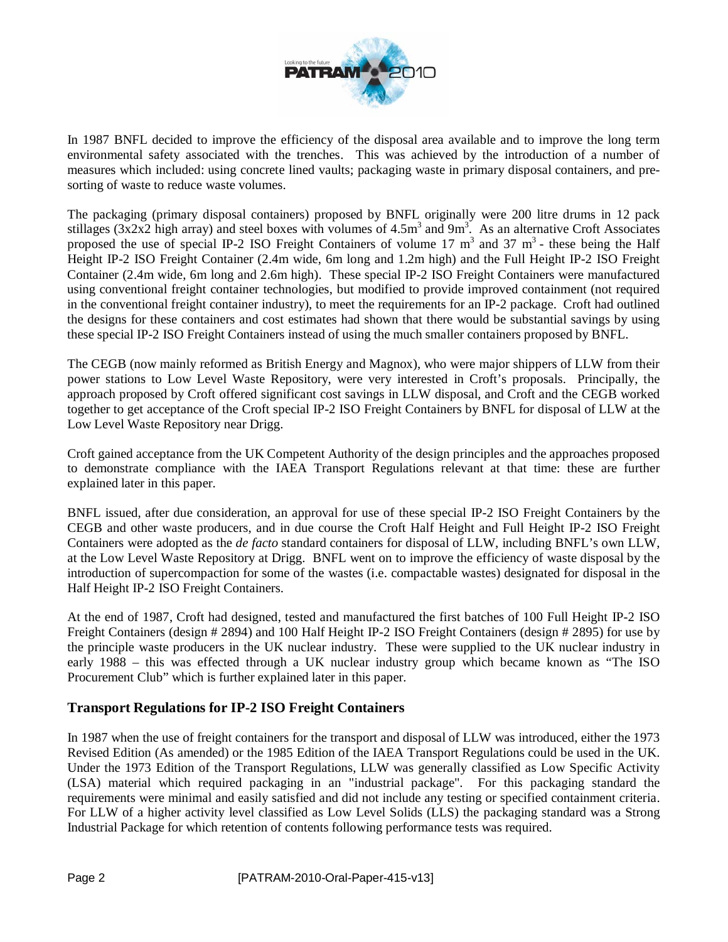

In 1987 BNFL decided to improve the efficiency of the disposal area available and to improve the long term environmental safety associated with the trenches. This was achieved by the introduction of a number of measures which included: using concrete lined vaults; packaging waste in primary disposal containers, and presorting of waste to reduce waste volumes.

The packaging (primary disposal containers) proposed by BNFL originally were 200 litre drums in 12 pack stillages ( $3x2x2$  high array) and steel boxes with volumes of  $4.5m<sup>3</sup>$  and  $9m<sup>3</sup>$ . As an alternative Croft Associates proposed the use of special IP-2 ISO Freight Containers of volume  $17 \text{ m}^3$  and  $37 \text{ m}^3$  - these being the Half Height IP-2 ISO Freight Container (2.4m wide, 6m long and 1.2m high) and the Full Height IP-2 ISO Freight Container (2.4m wide, 6m long and 2.6m high). These special IP-2 ISO Freight Containers were manufactured using conventional freight container technologies, but modified to provide improved containment (not required in the conventional freight container industry), to meet the requirements for an IP-2 package. Croft had outlined the designs for these containers and cost estimates had shown that there would be substantial savings by using these special IP-2 ISO Freight Containers instead of using the much smaller containers proposed by BNFL.

The CEGB (now mainly reformed as British Energy and Magnox), who were major shippers of LLW from their power stations to Low Level Waste Repository, were very interested in Croft's proposals. Principally, the approach proposed by Croft offered significant cost savings in LLW disposal, and Croft and the CEGB worked together to get acceptance of the Croft special IP-2 ISO Freight Containers by BNFL for disposal of LLW at the Low Level Waste Repository near Drigg.

Croft gained acceptance from the UK Competent Authority of the design principles and the approaches proposed to demonstrate compliance with the IAEA Transport Regulations relevant at that time: these are further explained later in this paper.

BNFL issued, after due consideration, an approval for use of these special IP-2 ISO Freight Containers by the CEGB and other waste producers, and in due course the Croft Half Height and Full Height IP-2 ISO Freight Containers were adopted as the *de facto* standard containers for disposal of LLW, including BNFL's own LLW, at the Low Level Waste Repository at Drigg. BNFL went on to improve the efficiency of waste disposal by the introduction of supercompaction for some of the wastes (i.e. compactable wastes) designated for disposal in the Half Height IP-2 ISO Freight Containers.

At the end of 1987, Croft had designed, tested and manufactured the first batches of 100 Full Height IP-2 ISO Freight Containers (design # 2894) and 100 Half Height IP-2 ISO Freight Containers (design # 2895) for use by the principle waste producers in the UK nuclear industry. These were supplied to the UK nuclear industry in early 1988 – this was effected through a UK nuclear industry group which became known as "The ISO Procurement Club" which is further explained later in this paper.

## **Transport Regulations for IP-2 ISO Freight Containers**

In 1987 when the use of freight containers for the transport and disposal of LLW was introduced, either the 1973 Revised Edition (As amended) or the 1985 Edition of the IAEA Transport Regulations could be used in the UK. Under the 1973 Edition of the Transport Regulations, LLW was generally classified as Low Specific Activity (LSA) material which required packaging in an "industrial package". For this packaging standard the requirements were minimal and easily satisfied and did not include any testing or specified containment criteria. For LLW of a higher activity level classified as Low Level Solids (LLS) the packaging standard was a Strong Industrial Package for which retention of contents following performance tests was required.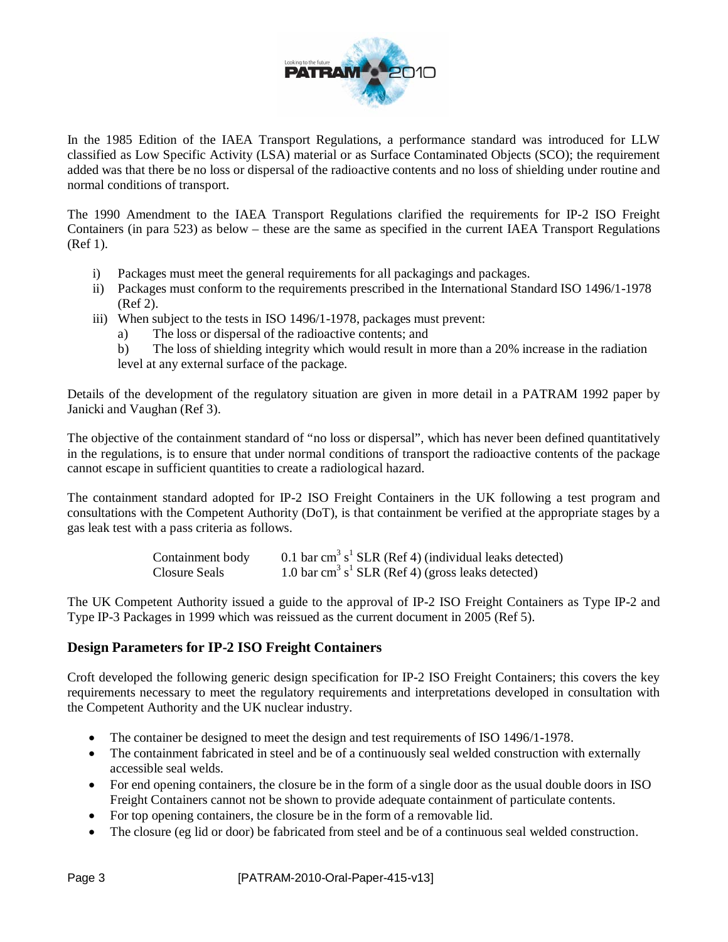

In the 1985 Edition of the IAEA Transport Regulations, a performance standard was introduced for LLW classified as Low Specific Activity (LSA) material or as Surface Contaminated Objects (SCO); the requirement added was that there be no loss or dispersal of the radioactive contents and no loss of shielding under routine and normal conditions of transport.

The 1990 Amendment to the IAEA Transport Regulations clarified the requirements for IP-2 ISO Freight Containers (in para 523) as below – these are the same as specified in the current IAEA Transport Regulations (Ref 1).

- i) Packages must meet the general requirements for all packagings and packages.
- ii) Packages must conform to the requirements prescribed in the International Standard ISO 1496/1-1978 (Ref 2).
- iii) When subject to the tests in ISO 1496/1-1978, packages must prevent:
	- a) The loss or dispersal of the radioactive contents; and
	- b) The loss of shielding integrity which would result in more than a 20% increase in the radiation level at any external surface of the package.

Details of the development of the regulatory situation are given in more detail in a PATRAM 1992 paper by Janicki and Vaughan (Ref 3).

The objective of the containment standard of "no loss or dispersal", which has never been defined quantitatively in the regulations, is to ensure that under normal conditions of transport the radioactive contents of the package cannot escape in sufficient quantities to create a radiological hazard.

The containment standard adopted for IP-2 ISO Freight Containers in the UK following a test program and consultations with the Competent Authority (DoT), is that containment be verified at the appropriate stages by a gas leak test with a pass criteria as follows.

| Containment body | 0.1 bar cm <sup>3</sup> s <sup>1</sup> SLR (Ref 4) (individual leaks detected) |
|------------------|--------------------------------------------------------------------------------|
| Closure Seals    | 1.0 bar cm <sup>3</sup> s <sup>1</sup> SLR (Ref 4) (gross leaks detected)      |

The UK Competent Authority issued a guide to the approval of IP-2 ISO Freight Containers as Type IP-2 and Type IP-3 Packages in 1999 which was reissued as the current document in 2005 (Ref 5).

## **Design Parameters for IP-2 ISO Freight Containers**

Croft developed the following generic design specification for IP-2 ISO Freight Containers; this covers the key requirements necessary to meet the regulatory requirements and interpretations developed in consultation with the Competent Authority and the UK nuclear industry.

- The container be designed to meet the design and test requirements of ISO 1496/1-1978.
- The containment fabricated in steel and be of a continuously seal welded construction with externally accessible seal welds.
- For end opening containers, the closure be in the form of a single door as the usual double doors in ISO Freight Containers cannot not be shown to provide adequate containment of particulate contents.
- For top opening containers, the closure be in the form of a removable lid.
- The closure (eg lid or door) be fabricated from steel and be of a continuous seal welded construction.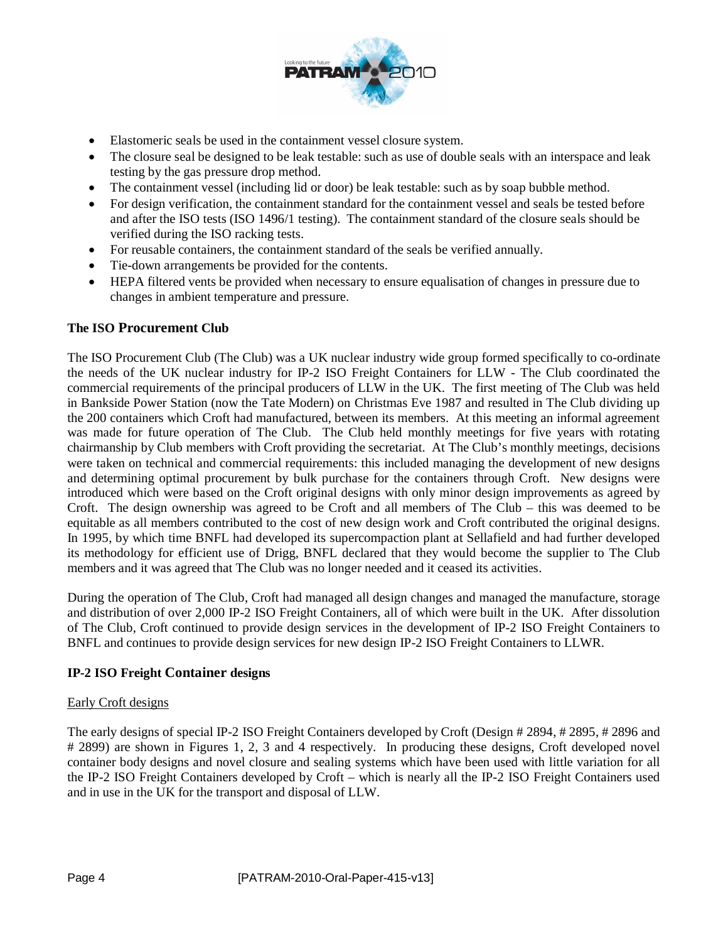

- Elastomeric seals be used in the containment vessel closure system.
- The closure seal be designed to be leak testable: such as use of double seals with an interspace and leak testing by the gas pressure drop method.
- The containment vessel (including lid or door) be leak testable: such as by soap bubble method.
- For design verification, the containment standard for the containment vessel and seals be tested before and after the ISO tests (ISO 1496/1 testing). The containment standard of the closure seals should be verified during the ISO racking tests.
- For reusable containers, the containment standard of the seals be verified annually.
- Tie-down arrangements be provided for the contents.
- HEPA filtered vents be provided when necessary to ensure equalisation of changes in pressure due to changes in ambient temperature and pressure.

### **The ISO Procurement Club**

The ISO Procurement Club (The Club) was a UK nuclear industry wide group formed specifically to co-ordinate the needs of the UK nuclear industry for IP-2 ISO Freight Containers for LLW - The Club coordinated the commercial requirements of the principal producers of LLW in the UK. The first meeting of The Club was held in Bankside Power Station (now the Tate Modern) on Christmas Eve 1987 and resulted in The Club dividing up the 200 containers which Croft had manufactured, between its members. At this meeting an informal agreement was made for future operation of The Club. The Club held monthly meetings for five years with rotating chairmanship by Club members with Croft providing the secretariat. At The Club's monthly meetings, decisions were taken on technical and commercial requirements: this included managing the development of new designs and determining optimal procurement by bulk purchase for the containers through Croft. New designs were introduced which were based on the Croft original designs with only minor design improvements as agreed by Croft. The design ownership was agreed to be Croft and all members of The Club – this was deemed to be equitable as all members contributed to the cost of new design work and Croft contributed the original designs. In 1995, by which time BNFL had developed its supercompaction plant at Sellafield and had further developed its methodology for efficient use of Drigg, BNFL declared that they would become the supplier to The Club members and it was agreed that The Club was no longer needed and it ceased its activities.

During the operation of The Club, Croft had managed all design changes and managed the manufacture, storage and distribution of over 2,000 IP-2 ISO Freight Containers, all of which were built in the UK. After dissolution of The Club, Croft continued to provide design services in the development of IP-2 ISO Freight Containers to BNFL and continues to provide design services for new design IP-2 ISO Freight Containers to LLWR.

#### **IP-2 ISO Freight Container designs**

#### Early Croft designs

The early designs of special IP-2 ISO Freight Containers developed by Croft (Design # 2894, # 2895, # 2896 and # 2899) are shown in Figures 1, 2, 3 and 4 respectively. In producing these designs, Croft developed novel container body designs and novel closure and sealing systems which have been used with little variation for all the IP-2 ISO Freight Containers developed by Croft – which is nearly all the IP-2 ISO Freight Containers used and in use in the UK for the transport and disposal of LLW.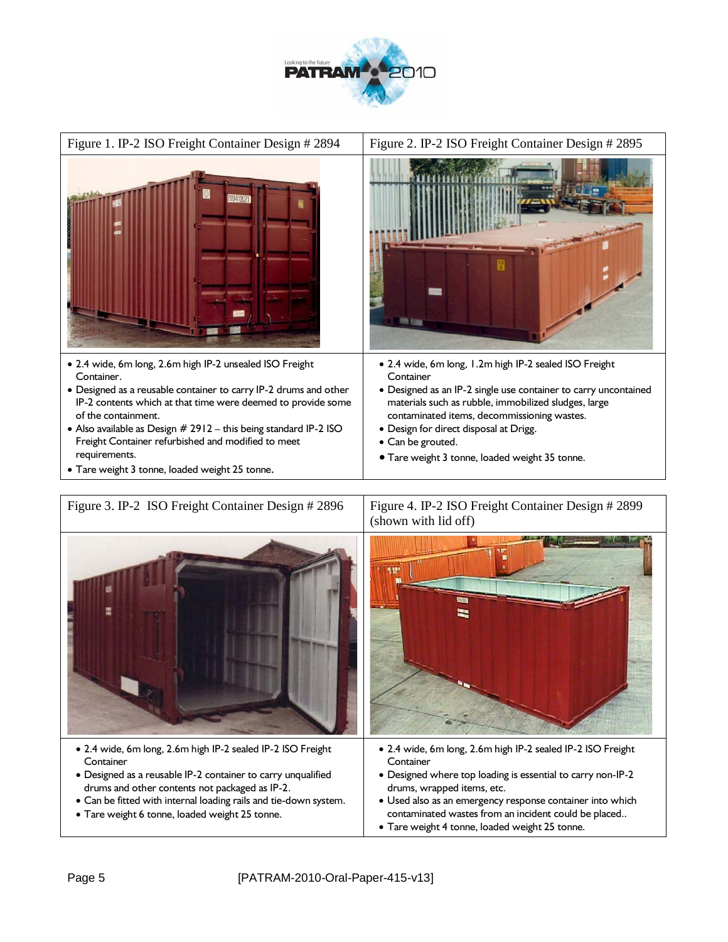





• Tare weight 4 tonne, loaded weight 25 tonne.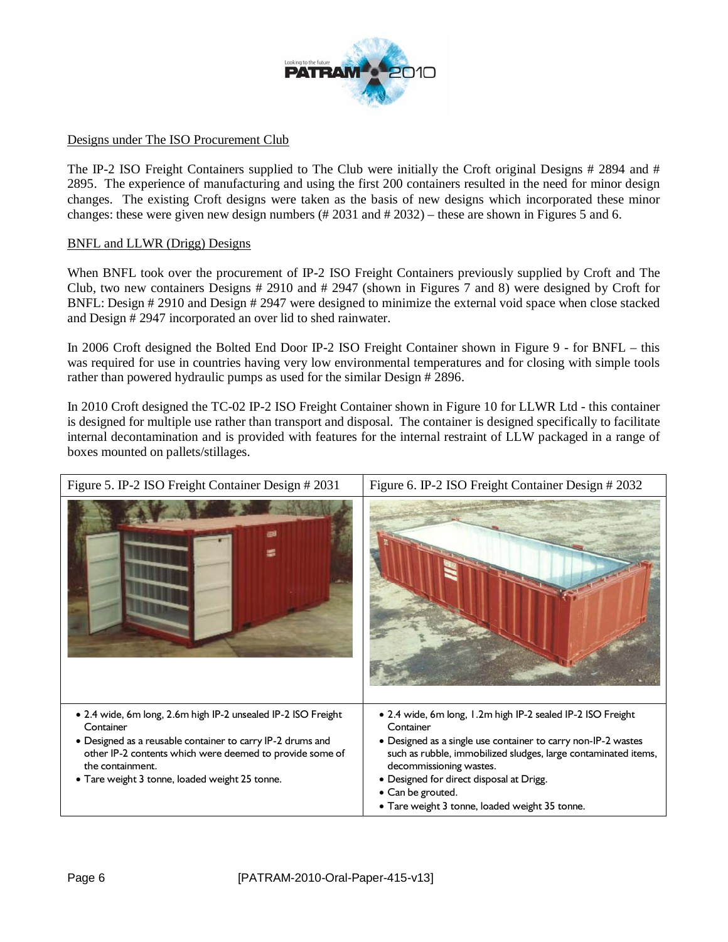

### Designs under The ISO Procurement Club

The IP-2 ISO Freight Containers supplied to The Club were initially the Croft original Designs # 2894 and # 2895. The experience of manufacturing and using the first 200 containers resulted in the need for minor design changes. The existing Croft designs were taken as the basis of new designs which incorporated these minor changes: these were given new design numbers (#2031 and #2032) – these are shown in Figures 5 and 6.

#### BNFL and LLWR (Drigg) Designs

When BNFL took over the procurement of IP-2 ISO Freight Containers previously supplied by Croft and The Club, two new containers Designs # 2910 and # 2947 (shown in Figures 7 and 8) were designed by Croft for BNFL: Design # 2910 and Design # 2947 were designed to minimize the external void space when close stacked and Design # 2947 incorporated an over lid to shed rainwater.

In 2006 Croft designed the Bolted End Door IP-2 ISO Freight Container shown in Figure 9 - for BNFL – this was required for use in countries having very low environmental temperatures and for closing with simple tools rather than powered hydraulic pumps as used for the similar Design # 2896.

In 2010 Croft designed the TC-02 IP-2 ISO Freight Container shown in Figure 10 for LLWR Ltd - this container is designed for multiple use rather than transport and disposal. The container is designed specifically to facilitate internal decontamination and is provided with features for the internal restraint of LLW packaged in a range of boxes mounted on pallets/stillages.

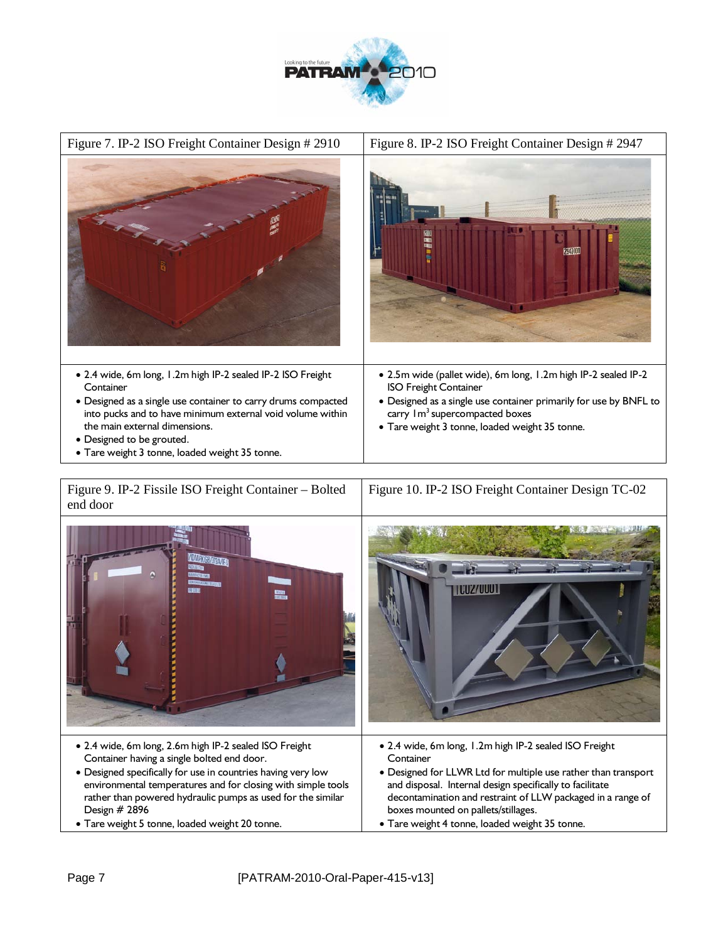



| Figure 9. IP-2 Fissile ISO Freight Container – Bolted   Figure 10. IP-2 ISO Freight Container Design TC-02<br>end door |  |
|------------------------------------------------------------------------------------------------------------------------|--|
|                                                                                                                        |  |

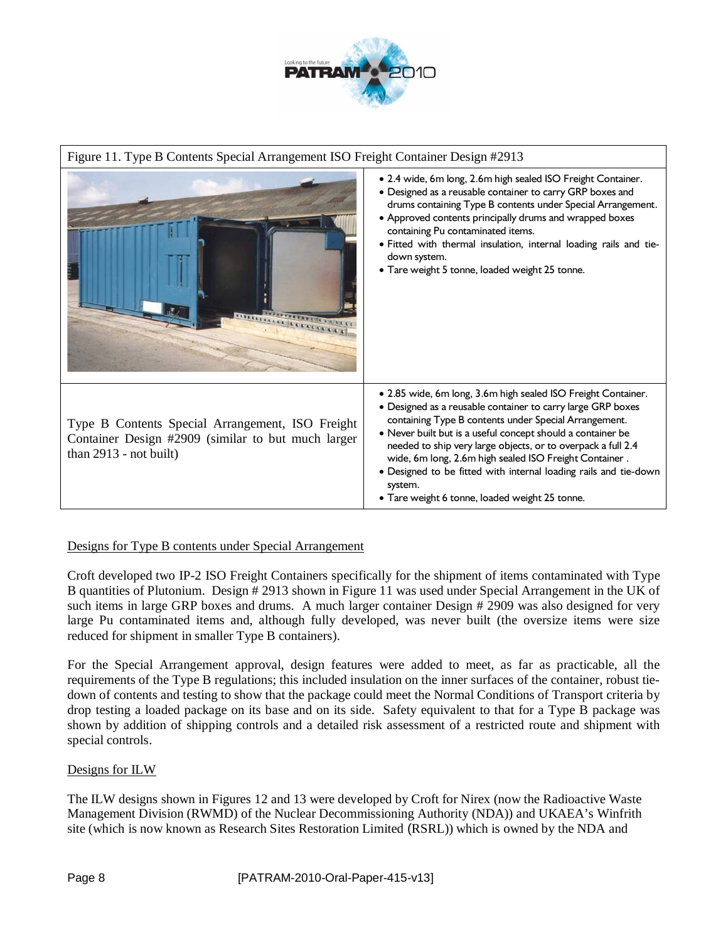

## Figure 11. Type B Contents Special Arrangement ISO Freight Container Design #2913 • 2.4 wide, 6m long, 2.6m high sealed ISO Freight Container. • Designed as a reusable container to carry GRP boxes and drums containing Type B contents under Special Arrangement. • Approved contents principally drums and wrapped boxes containing Pu contaminated items. • Fitted with thermal insulation, internal loading rails and tiedown system. • Tare weight 5 tonne, loaded weight 25 tonne. **Control Control Communist Communist Communist Communist Communist Communist Communist Communist Communist Comm** • 2.85 wide, 6m long, 3.6m high sealed ISO Freight Container. • Designed as a reusable container to carry large GRP boxes containing Type B contents under Special Arrangement. Type B Contents Special Arrangement, ISO Freight • Never built but is a useful concept should a container be Container Design #2909 (similar to but much larger needed to ship very large objects, or to overpack a full 2.4 than 2913 - not built) wide, 6m long, 2.6m high sealed ISO Freight Container . • Designed to be fitted with internal loading rails and tie-down system. • Tare weight 6 tonne, loaded weight 25 tonne.

#### Designs for Type B contents under Special Arrangement

Croft developed two IP-2 ISO Freight Containers specifically for the shipment of items contaminated with Type B quantities of Plutonium. Design # 2913 shown in Figure 11 was used under Special Arrangement in the UK of such items in large GRP boxes and drums. A much larger container Design # 2909 was also designed for very large Pu contaminated items and, although fully developed, was never built (the oversize items were size reduced for shipment in smaller Type B containers).

For the Special Arrangement approval, design features were added to meet, as far as practicable, all the requirements of the Type B regulations; this included insulation on the inner surfaces of the container, robust tiedown of contents and testing to show that the package could meet the Normal Conditions of Transport criteria by drop testing a loaded package on its base and on its side. Safety equivalent to that for a Type B package was shown by addition of shipping controls and a detailed risk assessment of a restricted route and shipment with special controls.

#### Designs for ILW

The ILW designs shown in Figures 12 and 13 were developed by Croft for Nirex (now the Radioactive Waste Management Division (RWMD) of the Nuclear Decommissioning Authority (NDA)) and UKAEA's Winfrith site (which is now known as Research Sites Restoration Limited (RSRL)) which is owned by the NDA and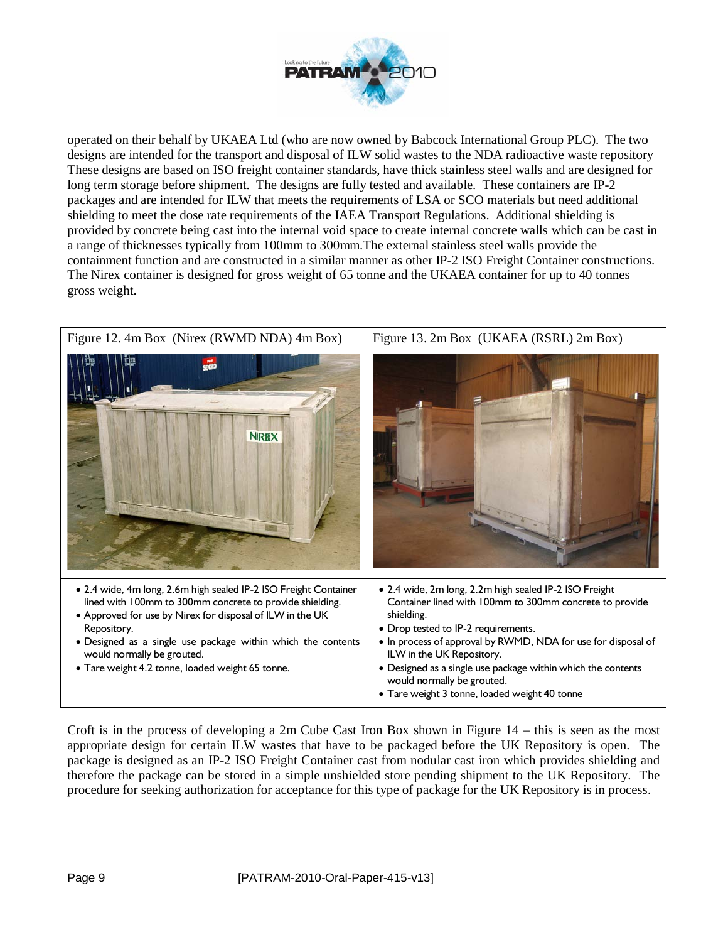

operated on their behalf by UKAEA Ltd (who are now owned by Babcock International Group PLC). The two designs are intended for the transport and disposal of ILW solid wastes to the NDA radioactive waste repository These designs are based on ISO freight container standards, have thick stainless steel walls and are designed for long term storage before shipment. The designs are fully tested and available. These containers are IP-2 packages and are intended for ILW that meets the requirements of LSA or SCO materials but need additional shielding to meet the dose rate requirements of the IAEA Transport Regulations. Additional shielding is provided by concrete being cast into the internal void space to create internal concrete walls which can be cast in a range of thicknesses typically from 100mm to 300mm.The external stainless steel walls provide the containment function and are constructed in a similar manner as other IP-2 ISO Freight Container constructions. The Nirex container is designed for gross weight of 65 tonne and the UKAEA container for up to 40 tonnes gross weight.



Croft is in the process of developing a 2m Cube Cast Iron Box shown in Figure 14 – this is seen as the most appropriate design for certain ILW wastes that have to be packaged before the UK Repository is open. The package is designed as an IP-2 ISO Freight Container cast from nodular cast iron which provides shielding and therefore the package can be stored in a simple unshielded store pending shipment to the UK Repository. The procedure for seeking authorization for acceptance for this type of package for the UK Repository is in process.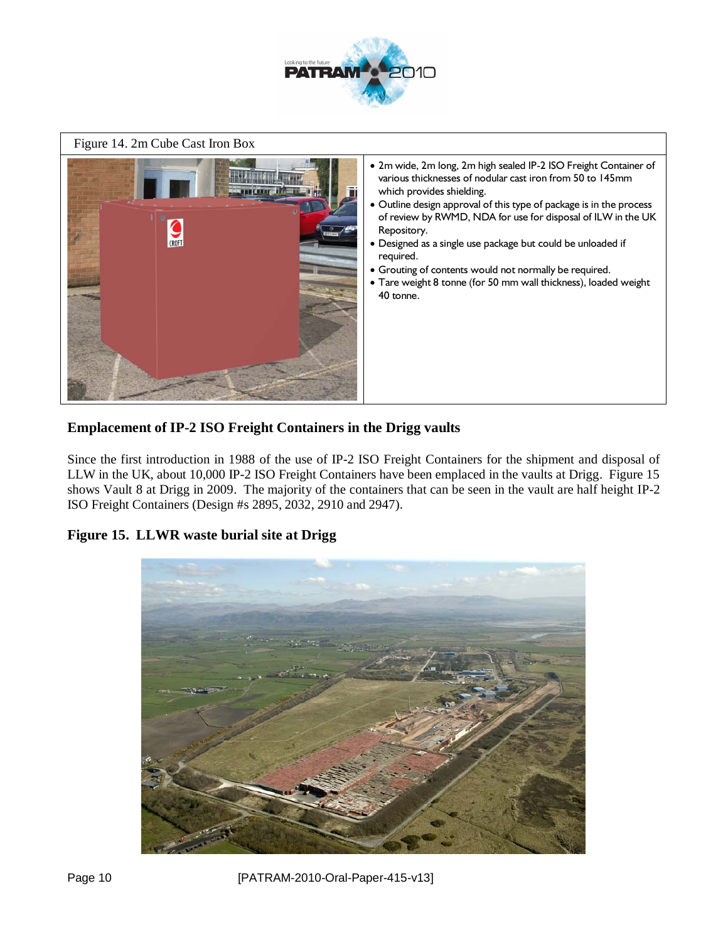

Figure 14. 2m Cube Cast Iron Box



## **Emplacement of IP-2 ISO Freight Containers in the Drigg vaults**

Since the first introduction in 1988 of the use of IP-2 ISO Freight Containers for the shipment and disposal of LLW in the UK, about 10,000 IP-2 ISO Freight Containers have been emplaced in the vaults at Drigg. Figure 15 shows Vault 8 at Drigg in 2009. The majority of the containers that can be seen in the vault are half height IP-2 ISO Freight Containers (Design #s 2895, 2032, 2910 and 2947).

## **Figure 15. LLWR waste burial site at Drigg**



Page 10 [PATRAM-2010-Oral-Paper-415-v13]